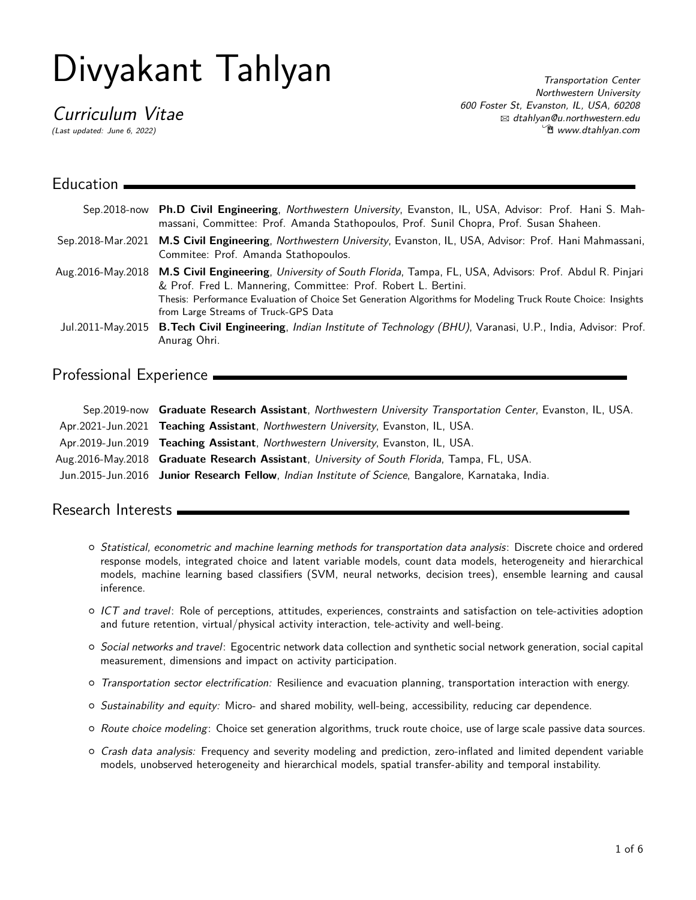# Divyakant Tahlyan

Curriculum Vitae

(Last updated: June 6, 2022)

Transportation Center Northwestern University 600 Foster St, Evanston, IL, USA, 60208 B [dtahlyan@u.northwestern.edu](mailto:dtahlyan@u.northwestern.edu) Í [www.dtahlyan.com](http://www.dtahlyan.com)

| Education |                                                                                                                                                                                                                                                                                                                                                    |
|-----------|----------------------------------------------------------------------------------------------------------------------------------------------------------------------------------------------------------------------------------------------------------------------------------------------------------------------------------------------------|
|           | Sep.2018-now Ph.D Civil Engineering, Northwestern University, Evanston, IL, USA, Advisor: Prof. Hani S. Mah-<br>massani, Committee: Prof. Amanda Stathopoulos, Prof. Sunil Chopra, Prof. Susan Shaheen.                                                                                                                                            |
|           | Sep.2018-Mar.2021 M.S Civil Engineering, Northwestern University, Evanston, IL, USA, Advisor: Prof. Hani Mahmassani,<br>Commitee: Prof. Amanda Stathopoulos.                                                                                                                                                                                       |
|           | Aug. 2016-May. 2018 M.S Civil Engineering, University of South Florida, Tampa, FL, USA, Advisors: Prof. Abdul R. Pinjari<br>& Prof. Fred L. Mannering, Committee: Prof. Robert L. Bertini.<br>Thesis: Performance Evaluation of Choice Set Generation Algorithms for Modeling Truck Route Choice: Insights<br>from Large Streams of Truck-GPS Data |
|           | Jul.2011-May.2015 B.Tech Civil Engineering, Indian Institute of Technology (BHU), Varanasi, U.P., India, Advisor: Prof.<br>Anurag Ohri.                                                                                                                                                                                                            |

# Professional Experience

| Sep.2019-now Graduate Research Assistant, Northwestern University Transportation Center, Evanston, IL, USA. |
|-------------------------------------------------------------------------------------------------------------|
| Apr.2021-Jun.2021 Teaching Assistant, Northwestern University, Evanston, IL, USA.                           |
| Apr.2019-Jun.2019 Teaching Assistant, Northwestern University, Evanston, IL, USA.                           |
| Aug. 2016-May. 2018 Graduate Research Assistant, University of South Florida, Tampa, FL, USA.               |
| Jun.2015-Jun.2016 Junior Research Fellow, Indian Institute of Science, Bangalore, Karnataka, India.         |

# Research Interests

- { Statistical, econometric and machine learning methods for transportation data analysis: Discrete choice and ordered response models, integrated choice and latent variable models, count data models, heterogeneity and hierarchical models, machine learning based classifiers (SVM, neural networks, decision trees), ensemble learning and causal inference.
- $\circ$  ICT and travel: Role of perceptions, attitudes, experiences, constraints and satisfaction on tele-activities adoption and future retention, virtual/physical activity interaction, tele-activity and well-being.
- { Social networks and travel: Egocentric network data collection and synthetic social network generation, social capital measurement, dimensions and impact on activity participation.
- $\circ$  Transportation sector electrification: Resilience and evacuation planning, transportation interaction with energy.
- $\circ$  Sustainability and equity: Micro- and shared mobility, well-being, accessibility, reducing car dependence.
- $\circ$  Route choice modeling: Choice set generation algorithms, truck route choice, use of large scale passive data sources.
- { Crash data analysis: Frequency and severity modeling and prediction, zero-inflated and limited dependent variable models, unobserved heterogeneity and hierarchical models, spatial transfer-ability and temporal instability.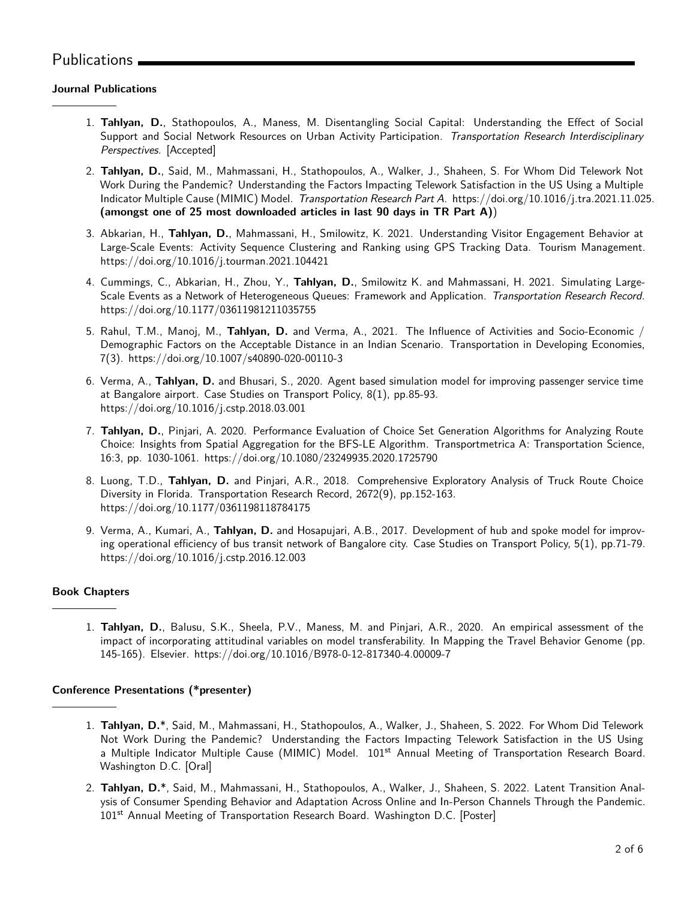# Publications .

## **Journal Publications**

- 1. **Tahlyan, D.**, Stathopoulos, A., Maness, M. Disentangling Social Capital: Understanding the Effect of Social Support and Social Network Resources on Urban Activity Participation. Transportation Research Interdisciplinary Perspectives. [Accepted]
- 2. **Tahlyan, D.**, Said, M., Mahmassani, H., Stathopoulos, A., Walker, J., Shaheen, S. For Whom Did Telework Not Work During the Pandemic? Understanding the Factors Impacting Telework Satisfaction in the US Using a Multiple Indicator Multiple Cause (MIMIC) Model. Transportation Research Part A. <https://doi.org/10.1016/j.tra.2021.11.025>. **(amongst one of 25 most downloaded articles in last 90 days in TR Part A)**)
- 3. Abkarian, H., **Tahlyan, D.**, Mahmassani, H., Smilowitz, K. 2021. Understanding Visitor Engagement Behavior at Large-Scale Events: Activity Sequence Clustering and Ranking using GPS Tracking Data. Tourism Management. <https://doi.org/10.1016/j.tourman.2021.104421>
- 4. Cummings, C., Abkarian, H., Zhou, Y., **Tahlyan, D.**, Smilowitz K. and Mahmassani, H. 2021. Simulating Large-Scale Events as a Network of Heterogeneous Queues: Framework and Application. Transportation Research Record. <https://doi.org/10.1177/03611981211035755>
- 5. Rahul, T.M., Manoj, M., **Tahlyan, D.** and Verma, A., 2021. The Influence of Activities and Socio-Economic / Demographic Factors on the Acceptable Distance in an Indian Scenario. Transportation in Developing Economies, 7(3). <https://doi.org/10.1007/s40890-020-00110-3>
- 6. Verma, A., **Tahlyan, D.** and Bhusari, S., 2020. Agent based simulation model for improving passenger service time at Bangalore airport. Case Studies on Transport Policy, 8(1), pp.85-93. <https://doi.org/10.1016/j.cstp.2018.03.001>
- 7. **Tahlyan, D.**, Pinjari, A. 2020. Performance Evaluation of Choice Set Generation Algorithms for Analyzing Route Choice: Insights from Spatial Aggregation for the BFS-LE Algorithm. Transportmetrica A: Transportation Science, 16:3, pp. 1030-1061. <https://doi.org/10.1080/23249935.2020.1725790>
- 8. Luong, T.D., **Tahlyan, D.** and Pinjari, A.R., 2018. Comprehensive Exploratory Analysis of Truck Route Choice Diversity in Florida. Transportation Research Record, 2672(9), pp.152-163. <https://doi.org/10.1177/0361198118784175>
- 9. Verma, A., Kumari, A., **Tahlyan, D.** and Hosapujari, A.B., 2017. Development of hub and spoke model for improving operational efficiency of bus transit network of Bangalore city. Case Studies on Transport Policy, 5(1), pp.71-79. <https://doi.org/10.1016/j.cstp.2016.12.003>

## **Book Chapters**

1. **Tahlyan, D.**, Balusu, S.K., Sheela, P.V., Maness, M. and Pinjari, A.R., 2020. An empirical assessment of the impact of incorporating attitudinal variables on model transferability. In Mapping the Travel Behavior Genome (pp. 145-165). Elsevier. <https://doi.org/10.1016/B978-0-12-817340-4.00009-7>

## **Conference Presentations (\*presenter)**

- 1. **Tahlyan, D.**\*, Said, M., Mahmassani, H., Stathopoulos, A., Walker, J., Shaheen, S. 2022. For Whom Did Telework Not Work During the Pandemic? Understanding the Factors Impacting Telework Satisfaction in the US Using a Multiple Indicator Multiple Cause (MIMIC) Model. 101<sup>st</sup> Annual Meeting of Transportation Research Board. Washington D.C. [Oral]
- 2. **Tahlyan, D.**\*, Said, M., Mahmassani, H., Stathopoulos, A., Walker, J., Shaheen, S. 2022. Latent Transition Analysis of Consumer Spending Behavior and Adaptation Across Online and In-Person Channels Through the Pandemic. 101<sup>st</sup> Annual Meeting of Transportation Research Board. Washington D.C. [Poster]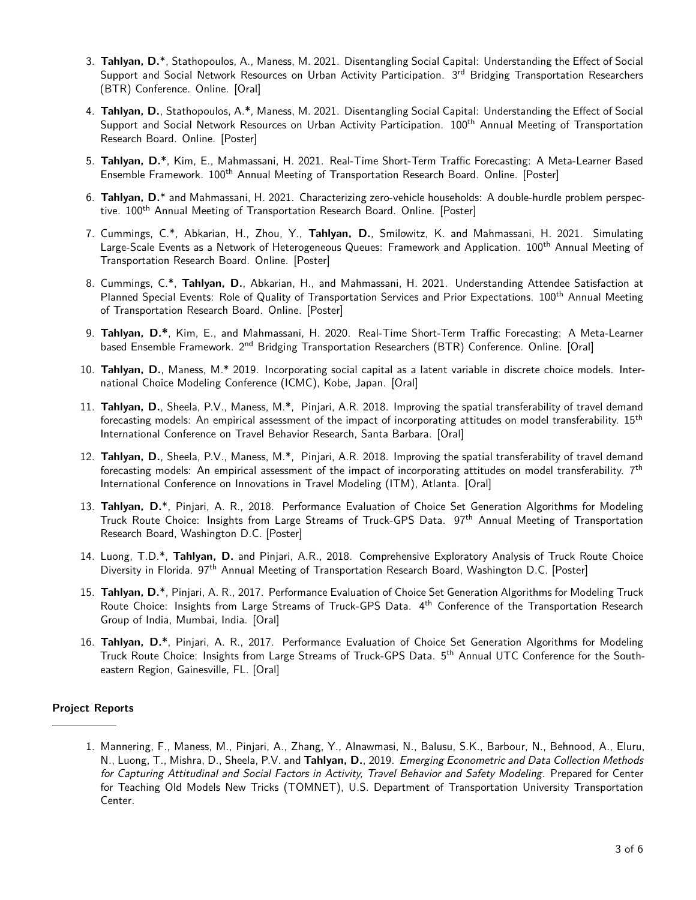- 3. **Tahlyan, D.**\*, Stathopoulos, A., Maness, M. 2021. Disentangling Social Capital: Understanding the Effect of Social Support and Social Network Resources on Urban Activity Participation. 3<sup>rd</sup> Bridging Transportation Researchers (BTR) Conference. Online. [Oral]
- 4. **Tahlyan, D.**, Stathopoulos, A.\*, Maness, M. 2021. Disentangling Social Capital: Understanding the Effect of Social Support and Social Network Resources on Urban Activity Participation. 100<sup>th</sup> Annual Meeting of Transportation Research Board. Online. [Poster]
- 5. **Tahlyan, D.**\*, Kim, E., Mahmassani, H. 2021. Real-Time Short-Term Traffic Forecasting: A Meta-Learner Based Ensemble Framework. 100<sup>th</sup> Annual Meeting of Transportation Research Board. Online. [Poster]
- 6. **Tahlyan, D.**\* and Mahmassani, H. 2021. Characterizing zero-vehicle households: A double-hurdle problem perspective. 100<sup>th</sup> Annual Meeting of Transportation Research Board. Online. [Poster]
- 7. Cummings, C.\*, Abkarian, H., Zhou, Y., **Tahlyan, D.**, Smilowitz, K. and Mahmassani, H. 2021. Simulating Large-Scale Events as a Network of Heterogeneous Queues: Framework and Application. 100<sup>th</sup> Annual Meeting of Transportation Research Board. Online. [Poster]
- 8. Cummings, C.\*, **Tahlyan, D.**, Abkarian, H., and Mahmassani, H. 2021. Understanding Attendee Satisfaction at Planned Special Events: Role of Quality of Transportation Services and Prior Expectations. 100th Annual Meeting of Transportation Research Board. Online. [Poster]
- 9. **Tahlyan, D.\***, Kim, E., and Mahmassani, H. 2020. Real-Time Short-Term Traffic Forecasting: A Meta-Learner based Ensemble Framework. 2<sup>nd</sup> Bridging Transportation Researchers (BTR) Conference. Online. [Oral]
- 10. **Tahlyan, D.**, Maness, M.\* 2019. Incorporating social capital as a latent variable in discrete choice models. International Choice Modeling Conference (ICMC), Kobe, Japan. [Oral]
- 11. **Tahlyan, D.**, Sheela, P.V., Maness, M.\*, Pinjari, A.R. 2018. Improving the spatial transferability of travel demand forecasting models: An empirical assessment of the impact of incorporating attitudes on model transferability. 15<sup>th</sup> International Conference on Travel Behavior Research, Santa Barbara. [Oral]
- 12. **Tahlyan, D.**, Sheela, P.V., Maness, M.\*, Pinjari, A.R. 2018. Improving the spatial transferability of travel demand forecasting models: An empirical assessment of the impact of incorporating attitudes on model transferability.  $7<sup>th</sup>$ International Conference on Innovations in Travel Modeling (ITM), Atlanta. [Oral]
- 13. **Tahlyan, D.**\*, Pinjari, A. R., 2018. Performance Evaluation of Choice Set Generation Algorithms for Modeling Truck Route Choice: Insights from Large Streams of Truck-GPS Data. 97th Annual Meeting of Transportation Research Board, Washington D.C. [Poster]
- 14. Luong, T.D.\*, **Tahlyan, D.** and Pinjari, A.R., 2018. Comprehensive Exploratory Analysis of Truck Route Choice Diversity in Florida. 97th Annual Meeting of Transportation Research Board, Washington D.C. [Poster]
- 15. **Tahlyan, D.**\*, Pinjari, A. R., 2017. Performance Evaluation of Choice Set Generation Algorithms for Modeling Truck Route Choice: Insights from Large Streams of Truck-GPS Data. 4th Conference of the Transportation Research Group of India, Mumbai, India. [Oral]
- 16. **Tahlyan, D.**\*, Pinjari, A. R., 2017. Performance Evaluation of Choice Set Generation Algorithms for Modeling Truck Route Choice: Insights from Large Streams of Truck-GPS Data. 5<sup>th</sup> Annual UTC Conference for the Southeastern Region, Gainesville, FL. [Oral]

#### **Project Reports**

1. Mannering, F., Maness, M., Pinjari, A., Zhang, Y., Alnawmasi, N., Balusu, S.K., Barbour, N., Behnood, A., Eluru, N., Luong, T., Mishra, D., Sheela, P.V. and **Tahlyan, D.**, 2019. Emerging Econometric and Data Collection Methods for Capturing Attitudinal and Social Factors in Activity, Travel Behavior and Safety Modeling. Prepared for Center for Teaching Old Models New Tricks (TOMNET), U.S. Department of Transportation University Transportation Center.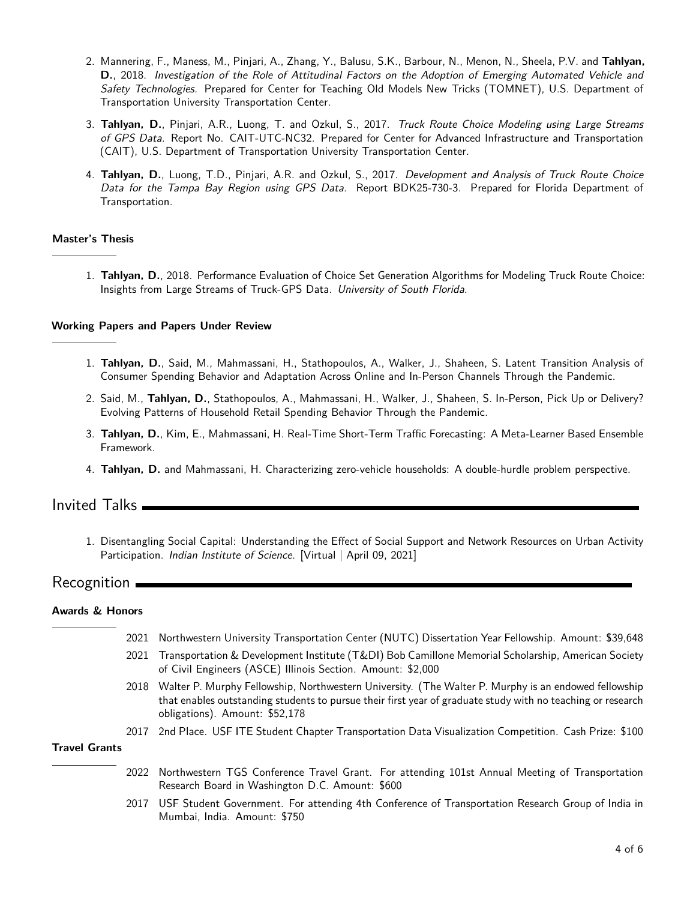- 2. Mannering, F., Maness, M., Pinjari, A., Zhang, Y., Balusu, S.K., Barbour, N., Menon, N., Sheela, P.V. and **Tahlyan, D.**, 2018. Investigation of the Role of Attitudinal Factors on the Adoption of Emerging Automated Vehicle and Safety Technologies. Prepared for Center for Teaching Old Models New Tricks (TOMNET), U.S. Department of Transportation University Transportation Center.
- 3. **Tahlyan, D.**, Pinjari, A.R., Luong, T. and Ozkul, S., 2017. Truck Route Choice Modeling using Large Streams of GPS Data. Report No. CAIT-UTC-NC32. Prepared for Center for Advanced Infrastructure and Transportation (CAIT), U.S. Department of Transportation University Transportation Center.
- 4. **Tahlyan, D.**, Luong, T.D., Pinjari, A.R. and Ozkul, S., 2017. Development and Analysis of Truck Route Choice Data for the Tampa Bay Region using GPS Data. Report BDK25-730-3. Prepared for Florida Department of Transportation.

#### **Master's Thesis**

1. **Tahlyan, D.**, 2018. [Performance Evaluation of Choice Set Generation Algorithms for Modeling Truck Route Choice:](https://scholarcommons.usf.edu/etd/7649/) [Insights from Large Streams of Truck-GPS Data.](https://scholarcommons.usf.edu/etd/7649/) University of South Florida.

#### **Working Papers and Papers Under Review**

- 1. **Tahlyan, D.**, Said, M., Mahmassani, H., Stathopoulos, A., Walker, J., Shaheen, S. Latent Transition Analysis of Consumer Spending Behavior and Adaptation Across Online and In-Person Channels Through the Pandemic.
- 2. Said, M., **Tahlyan, D.**, Stathopoulos, A., Mahmassani, H., Walker, J., Shaheen, S. In-Person, Pick Up or Delivery? Evolving Patterns of Household Retail Spending Behavior Through the Pandemic.
- 3. **Tahlyan, D.**, Kim, E., Mahmassani, H. Real-Time Short-Term Traffic Forecasting: A Meta-Learner Based Ensemble Framework.
- 4. **Tahlyan, D.** and Mahmassani, H. Characterizing zero-vehicle households: A double-hurdle problem perspective.

## Invited Talks

1. Disentangling Social Capital: Understanding the Effect of Social Support and Network Resources on Urban Activity Participation. *Indian Institute of Science.* [Virtual | April 09, 2021]

## Recognition

#### **Awards & Honors**

|                      | 2021 | Northwestern University Transportation Center (NUTC) Dissertation Year Fellowship. Amount: \$39,648                                                                                                                                                        |
|----------------------|------|------------------------------------------------------------------------------------------------------------------------------------------------------------------------------------------------------------------------------------------------------------|
|                      |      | 2021 Transportation & Development Institute (T&DI) Bob Camillone Memorial Scholarship, American Society<br>of Civil Engineers (ASCE) Illinois Section. Amount: \$2,000                                                                                     |
|                      |      | 2018 Walter P. Murphy Fellowship, Northwestern University. (The Walter P. Murphy is an endowed fellowship<br>that enables outstanding students to pursue their first year of graduate study with no teaching or research<br>obligations). Amount: \$52,178 |
|                      |      | 2017 2nd Place. USF ITE Student Chapter Transportation Data Visualization Competition. Cash Prize: \$100                                                                                                                                                   |
| <b>Travel Grants</b> |      |                                                                                                                                                                                                                                                            |
|                      | 2022 | Northwestern TGS Conference Travel Grant. For attending 101st Annual Meeting of Transportation<br>Research Board in Washington D.C. Amount: \$600                                                                                                          |
|                      |      | 2017 USF Student Government. For attending 4th Conference of Transportation Research Group of India in                                                                                                                                                     |

2017 USF Student Government. For attending 4th Conference of Transportation Research Group of India in Mumbai, India. Amount: \$750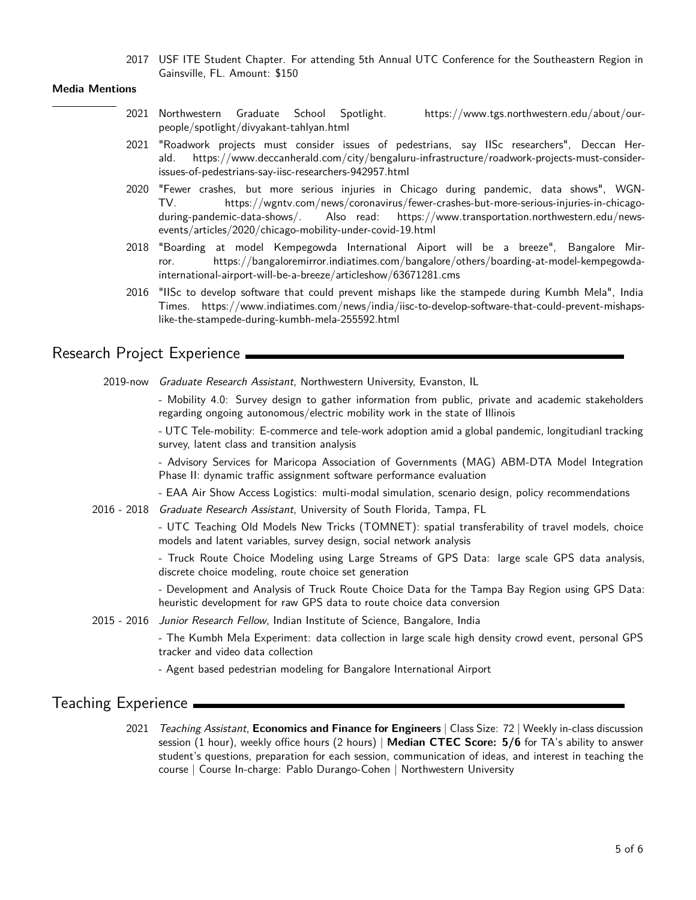2017 USF ITE Student Chapter. For attending 5th Annual UTC Conference for the Southeastern Region in Gainsville, FL. Amount: \$150

#### **Media Mentions**

- 2021 Northwestern Graduate School Spotlight. [https://www.tgs.northwestern.edu/about/our](https://www.tgs.northwestern.edu/about/our-people/spotlight/divyakant-tahlyan.html)[people/spotlight/divyakant-tahlyan.html](https://www.tgs.northwestern.edu/about/our-people/spotlight/divyakant-tahlyan.html)
- 2021 "Roadwork projects must consider issues of pedestrians, say IISc researchers", Deccan Herald. [https://www.deccanherald.com/city/bengaluru-infrastructure/roadwork-projects-must-consider](https://www.deccanherald.com/city/bengaluru-infrastructure/roadwork-projects-must-consider-issues-of-pedestrians-say-iisc-researchers-942957.html)[issues-of-pedestrians-say-iisc-researchers-942957.html](https://www.deccanherald.com/city/bengaluru-infrastructure/roadwork-projects-must-consider-issues-of-pedestrians-say-iisc-researchers-942957.html)
- 2020 "Fewer crashes, but more serious injuries in Chicago during pandemic, data shows", WGN-TV. [https://wgntv.com/news/coronavirus/fewer-crashes-but-more-serious-injuries-in-chicago](https://wgntv.com/news/coronavirus/fewer-crashes-but-more-serious-injuries-in-chicago-during-pandemic-data-shows/)[during-pandemic-data-shows/.](https://wgntv.com/news/coronavirus/fewer-crashes-but-more-serious-injuries-in-chicago-during-pandemic-data-shows/) Also read: [https://www.transportation.northwestern.edu/news](https://www.transportation.northwestern.edu/news-events/articles/2020/chicago-mobility-under-covid-19.html)[events/articles/2020/chicago-mobility-under-covid-19.html](https://www.transportation.northwestern.edu/news-events/articles/2020/chicago-mobility-under-covid-19.html)
- 2018 "Boarding at model Kempegowda International Aiport will be a breeze", Bangalore Mirror. [https://bangaloremirror.indiatimes.com/bangalore/others/boarding-at-model-kempegowda](https://bangaloremirror.indiatimes.com/bangalore/others/boarding-at-model-kempegowda-international-airport-will-be-a-breeze/articleshow/63671281.cms)[international-airport-will-be-a-breeze/articleshow/63671281.cms](https://bangaloremirror.indiatimes.com/bangalore/others/boarding-at-model-kempegowda-international-airport-will-be-a-breeze/articleshow/63671281.cms)
- 2016 "IISc to develop software that could prevent mishaps like the stampede during Kumbh Mela", India Times. [https://www.indiatimes.com/news/india/iisc-to-develop-software-that-could-prevent-mishaps](https://www.indiatimes.com/news/india/iisc-to-develop-software-that-could-prevent-mishaps-like-the-stampede-during-kumbh-mela-255592.html)[like-the-stampede-during-kumbh-mela-255592.html](https://www.indiatimes.com/news/india/iisc-to-develop-software-that-could-prevent-mishaps-like-the-stampede-during-kumbh-mela-255592.html)

## Research Project Experience

2019-now Graduate Research Assistant, Northwestern University, Evanston, IL

- Mobility 4.0: Survey design to gather information from public, private and academic stakeholders regarding ongoing autonomous/electric mobility work in the state of Illinois

- UTC Tele-mobility: E-commerce and tele-work adoption amid a global pandemic, longitudianl tracking survey, latent class and transition analysis

- Advisory Services for Maricopa Association of Governments (MAG) ABM-DTA Model Integration Phase II: dynamic traffic assignment software performance evaluation

- EAA Air Show Access Logistics: multi-modal simulation, scenario design, policy recommendations

2016 - 2018 Graduate Research Assistant, University of South Florida, Tampa, FL

- UTC Teaching Old Models New Tricks (TOMNET): spatial transferability of travel models, choice models and latent variables, survey design, social network analysis

- Truck Route Choice Modeling using Large Streams of GPS Data: large scale GPS data analysis, discrete choice modeling, route choice set generation

- Development and Analysis of Truck Route Choice Data for the Tampa Bay Region using GPS Data: heuristic development for raw GPS data to route choice data conversion

2015 - 2016 Junior Research Fellow, Indian Institute of Science, Bangalore, India

- The Kumbh Mela Experiment: data collection in large scale high density crowd event, personal GPS tracker and video data collection

- Agent based pedestrian modeling for Bangalore International Airport

## Teaching Experience

2021 Teaching Assistant, **Economics and Finance for Engineers** | Class Size: 72 | Weekly in-class discussion session (1 hour), weekly office hours (2 hours) | **Median CTEC Score: 5/6** for TA's ability to answer student's questions, preparation for each session, communication of ideas, and interest in teaching the course | Course In-charge: Pablo Durango-Cohen | Northwestern University